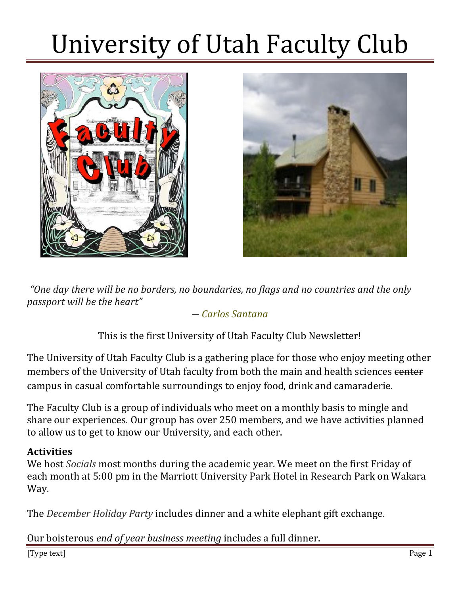



*"One day there will be no borders, no boundaries, no flags and no countries and the only passport will be the heart"*

### *― Carlos Santana*

This is the first University of Utah Faculty Club Newsletter!

The University of Utah Faculty Club is a gathering place for those who enjoy meeting other members of the University of Utah faculty from both the main and health sciences center campus in casual comfortable surroundings to enjoy food, drink and camaraderie.

The Faculty Club is a group of individuals who meet on a monthly basis to mingle and share our experiences. Our group has over 250 members, and we have activities planned to allow us to get to know our University, and each other.

### **Activities**

We host *Socials* most months during the academic year. We meet on the first Friday of each month at 5:00 pm in the Marriott University Park Hotel in Research Park on Wakara Way. 

The *December Holiday Party* includes dinner and a white elephant gift exchange.

Our boisterous *end of year business meeting* includes a full dinner.

[Type text] Page 1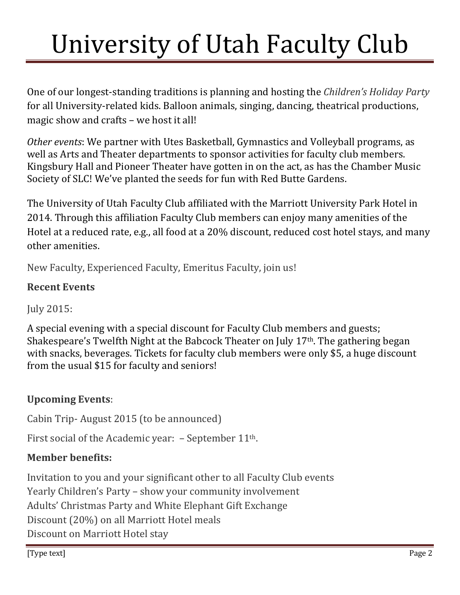One of our longest-standing traditions is planning and hosting the *Children's Holiday Party* for all University-related kids. Balloon animals, singing, dancing, theatrical productions, magic show and crafts – we host it all!

*Other events*: We partner with Utes Basketball, Gymnastics and Volleyball programs, as well as Arts and Theater departments to sponsor activities for faculty club members. Kingsbury Hall and Pioneer Theater have gotten in on the act, as has the Chamber Music Society of SLC! We've planted the seeds for fun with Red Butte Gardens.

The University of Utah Faculty Club affiliated with the Marriott University Park Hotel in 2014. Through this affiliation Faculty Club members can enjoy many amenities of the Hotel at a reduced rate, e.g., all food at a 20% discount, reduced cost hotel stays, and many other amenities.

New Faculty, Experienced Faculty, Emeritus Faculty, join us!

### **Recent Events**

July 2015: 

A special evening with a special discount for Faculty Club members and guests; Shakespeare's Twelfth Night at the Babcock Theater on July  $17<sup>th</sup>$ . The gathering began with snacks, beverages. Tickets for faculty club members were only \$5, a huge discount from the usual \$15 for faculty and seniors!

## **Upcoming Events**:

Cabin Trip-August 2015 (to be announced)

First social of the Academic year:  $-$  September 11<sup>th</sup>.

## **Member benefits:**

Invitation to you and your significant other to all Faculty Club events Yearly Children's Party – show your community involvement Adults' Christmas Party and White Elephant Gift Exchange Discount (20%) on all Marriott Hotel meals Discount on Marriott Hotel stay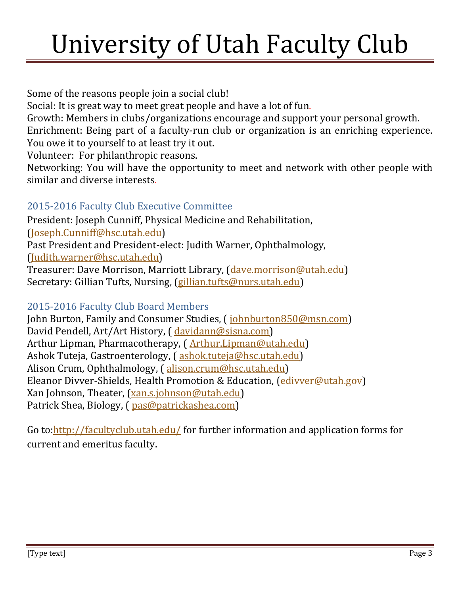Some of the reasons people join a social club!

Social: It is great way to meet great people and have a lot of fun.

Growth: Members in clubs/organizations encourage and support your personal growth. Enrichment: Being part of a faculty-run club or organization is an enriching experience.

You owe it to yourself to at least try it out.

Volunteer: For philanthropic reasons.

Networking: You will have the opportunity to meet and network with other people with similar and diverse interests.

## 2015-2016 Faculty Club Executive Committee

President: Joseph Cunniff, Physical Medicine and Rehabilitation, (Joseph.Cunniff@hsc.utah.edu) Past President and President-elect: Judith Warner, Ophthalmology, (Judith.warner@hsc.utah.edu) Treasurer: Dave Morrison, Marriott Library, (dave.morrison@utah.edu)

Secretary: Gillian Tufts, Nursing, (gillian.tufts@nurs.utah.edu)

## 2015-2016 Faculty Club Board Members

John Burton, Family and Consumer Studies, (*johnburton850@msn.com*) David Pendell, Art/Art History, ( davidann@sisna.com) Arthur Lipman, Pharmacotherapy, (Arthur.Lipman@utah.edu) Ashok Tuteja, Gastroenterology, (ashok.tuteja@hsc.utah.edu) Alison Crum, Ophthalmology, (alison.crum@hsc.utah.edu) Eleanor Divver-Shields, Health Promotion & Education, (edivver@utah.gov) Xan Johnson, Theater, (xan.s.johnson@utah.edu) Patrick Shea, Biology, (  $pas@patrickashea.com$ )

Go to:http://facultyclub.utah.edu/ for further information and application forms for current and emeritus faculty.